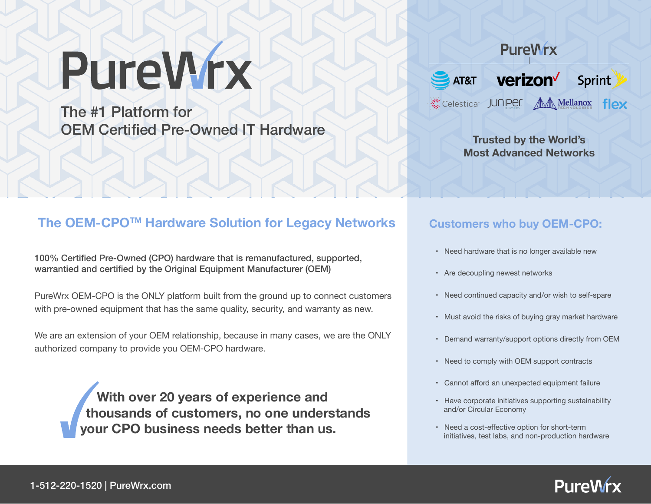# PureWrx

The #1 Platform for OEM Certified Pre-Owned IT Hardware

## **PureWrx**



**Trusted by the World's Most Advanced Networks**

### **The OEM-CPOTM Hardware Solution for Legacy Networks**

100% Certified Pre-Owned (CPO) hardware that is remanufactured, supported, warrantied and certified by the Original Equipment Manufacturer (OEM)

PureWrx OEM-CPO is the ONLY platform built from the ground up to connect customers with pre-owned equipment that has the same quality, security, and warranty as new.

We are an extension of your OEM relationship, because in many cases, we are the ONLY authorized company to provide you OEM-CPO hardware.

> **With over 20 years of experience and thousands of customers, no one understands your CPO business needs better than us.**

#### **Customers who buy OEM-CPO:**

- Need hardware that is no longer available new
- Are decoupling newest networks
- Need continued capacity and/or wish to self-spare
- Must avoid the risks of buying gray market hardware
- Demand warranty/support options directly from OEM
- Need to comply with OEM support contracts
- Cannot afford an unexpected equipment failure
- Have corporate initiatives supporting sustainability and/or Circular Economy
- Need a cost-effective option for short-term initiatives, test labs, and non-production hardware